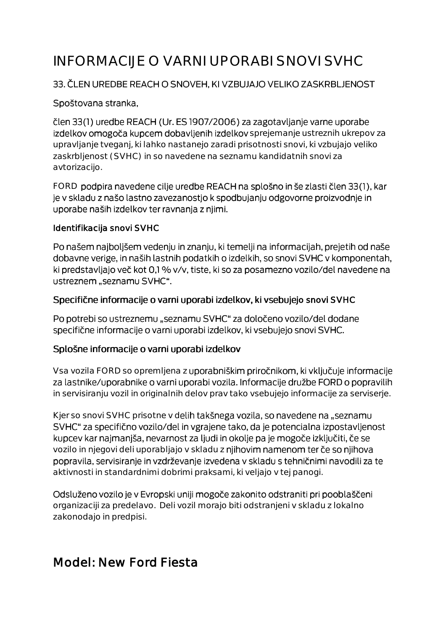# INFORMACIJE O VARNI UPORABI SNOVI SVHC

#### 33. ČLEN UREDBE REACH O SNOVEH, KI VZBUJAJO VELIKO ZASKRBLJENOST

#### Spoštovana stranka,

člen 33(1) uredbe REACH (Ur. ES 1907/2006) za zagotavljanje varne uporabe izdelkov omogoča kupcem dobavljenih izdelkov sprejemanje ustreznih ukrepov za upravljanje tveganj, ki lahko nastanejo zaradi prisotnosti snovi, ki vzbujajo veliko zaskrbljenost (SVHC) in so navedene na seznamu kandidatnih snovi za avtorizacijo.

FORD podpira navedene cilje uredbe REACH na splošno in še zlasti člen 33(1), kar je v skladu z našo lastno zavezanostjo k spodbujanju odgovorne proizvodnje in uporabe naših izdelkov ter ravnanja z njimi.

#### Identifikacija snovi SVHC

Po našem najboljšem vedenju in znanju, ki temelji na informacijah, prejetih od naše dobavne verige, in naših lastnih podatkih o izdelkih, so snovi SVHC v komponentah, ki predstavljajo več kot 0,1 % v/v, tiste, ki so za posamezno vozilo/del navedene na ustreznem "seznamu SVHC".

#### Specifične informacije o varni uporabi izdelkov, ki vsebujejo snovi SVHC

Po potrebi so ustreznemu "seznamu SVHC" za določeno vozilo/del dodane specifične informacije o varni uporabi izdelkov, ki vsebujejo snovi SVHC.

#### Splošne informacije o varni uporabi izdelkov

Vsa vozila FORD so opremljena z uporabniškim priročnikom, ki vključuje informacije za lastnike/uporabnike o varni uporabi vozila. Informacije družbe FORD o popravilih in servisiranju vozil in originalnih delov prav tako vsebujejo informacije za serviserje.

Kjer so snovi SVHC prisotne v delih takšnega vozila, so navedene na "seznamu SVHC" za specifično vozilo/del in vgrajene tako, da je potencialna izpostavljenost kupcev kar najmanjša, nevarnost za ljudi in okolje pa je mogoče izključiti, če se vozilo in njegovi deli uporabljajo v skladu z njihovim namenom ter če so njihova popravila, servisiranje in vzdrževanje izvedena v skladu s tehničnimi navodili za te aktivnosti in standardnimi dobrimi praksami, ki veljajo v tej panogi.

Odsluženo vozilo je v Evropski uniji mogoče zakonito odstraniti pri pooblaščeni organizaciji za predelavo. Deli vozil morajo biti odstranjeni v skladu z lokalno zakonodajo in predpisi.

## Model: New Ford Fiesta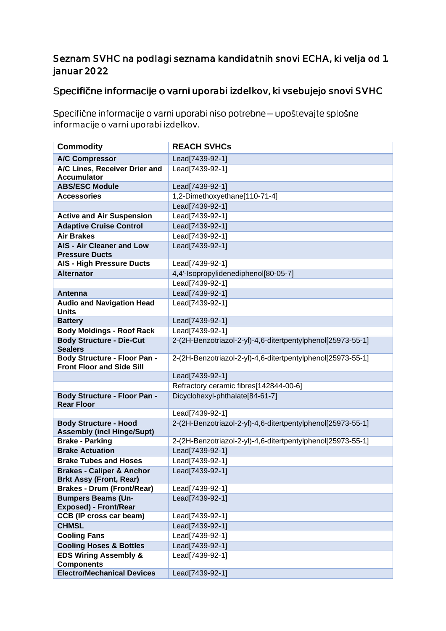#### Seznam SVHC na podlagi seznama kandidatnih snovi ECHA, ki velja od 1. januar 2022

### Specifične informacije o varni uporabi izdelkov, ki vsebujejo snovi SVHC

Specifične informacije o varni uporabi niso potrebne - upoštevajte splošne informacije o varni uporabi izdelkov.

| <b>Commodity</b>                                                        | <b>REACH SVHCs</b>                                          |
|-------------------------------------------------------------------------|-------------------------------------------------------------|
| <b>A/C Compressor</b>                                                   | Lead[7439-92-1]                                             |
| A/C Lines, Receiver Drier and                                           | Lead[7439-92-1]                                             |
| <b>Accumulator</b>                                                      |                                                             |
| <b>ABS/ESC Module</b>                                                   | Lead[7439-92-1]                                             |
| <b>Accessories</b>                                                      | 1,2-Dimethoxyethane[110-71-4]                               |
|                                                                         | Lead[7439-92-1]                                             |
| <b>Active and Air Suspension</b>                                        | Lead[7439-92-1]                                             |
| <b>Adaptive Cruise Control</b>                                          | Lead[7439-92-1]                                             |
| <b>Air Brakes</b>                                                       | Lead[7439-92-1]                                             |
| <b>AIS - Air Cleaner and Low</b>                                        | Lead[7439-92-1]                                             |
| <b>Pressure Ducts</b>                                                   |                                                             |
| <b>AIS - High Pressure Ducts</b>                                        | Lead[7439-92-1]                                             |
| <b>Alternator</b>                                                       | 4,4'-Isopropylidenediphenol[80-05-7]                        |
|                                                                         | Lead[7439-92-1]                                             |
| Antenna                                                                 | Lead[7439-92-1]                                             |
| <b>Audio and Navigation Head</b><br><b>Units</b>                        | Lead[7439-92-1]                                             |
| <b>Battery</b>                                                          | Lead[7439-92-1]                                             |
| <b>Body Moldings - Roof Rack</b>                                        | Lead[7439-92-1]                                             |
| <b>Body Structure - Die-Cut</b><br><b>Sealers</b>                       | 2-(2H-Benzotriazol-2-yl)-4,6-ditertpentylphenol[25973-55-1] |
| <b>Body Structure - Floor Pan -</b><br><b>Front Floor and Side Sill</b> | 2-(2H-Benzotriazol-2-yl)-4,6-ditertpentylphenol[25973-55-1] |
|                                                                         | Lead[7439-92-1]                                             |
|                                                                         | Refractory ceramic fibres[142844-00-6]                      |
| <b>Body Structure - Floor Pan -</b><br><b>Rear Floor</b>                | Dicyclohexyl-phthalate[84-61-7]                             |
|                                                                         | Lead[7439-92-1]                                             |
| <b>Body Structure - Hood</b><br><b>Assembly (incl Hinge/Supt)</b>       | 2-(2H-Benzotriazol-2-yl)-4,6-ditertpentylphenol[25973-55-1] |
| <b>Brake - Parking</b>                                                  | 2-(2H-Benzotriazol-2-yl)-4,6-ditertpentylphenol[25973-55-1] |
| <b>Brake Actuation</b>                                                  | Lead[7439-92-1]                                             |
| <b>Brake Tubes and Hoses</b>                                            | Lead[7439-92-1]                                             |
| <b>Brakes - Caliper &amp; Anchor</b>                                    | Lead[7439-92-1]                                             |
| <b>Brkt Assy (Front, Rear)</b>                                          |                                                             |
| <b>Brakes - Drum (Front/Rear)</b>                                       | Lead[7439-92-1]                                             |
| <b>Bumpers Beams (Un-</b>                                               | Lead[7439-92-1]                                             |
| <b>Exposed) - Front/Rear</b>                                            |                                                             |
| <b>CCB (IP cross car beam)</b>                                          | Lead[7439-92-1]                                             |
| <b>CHMSL</b>                                                            | Lead[7439-92-1]                                             |
| <b>Cooling Fans</b>                                                     | Lead[7439-92-1]                                             |
| <b>Cooling Hoses &amp; Bottles</b>                                      | Lead[7439-92-1]                                             |
| <b>EDS Wiring Assembly &amp;</b>                                        | Lead[7439-92-1]                                             |
| <b>Components</b>                                                       |                                                             |
| <b>Electro/Mechanical Devices</b>                                       | Lead[7439-92-1]                                             |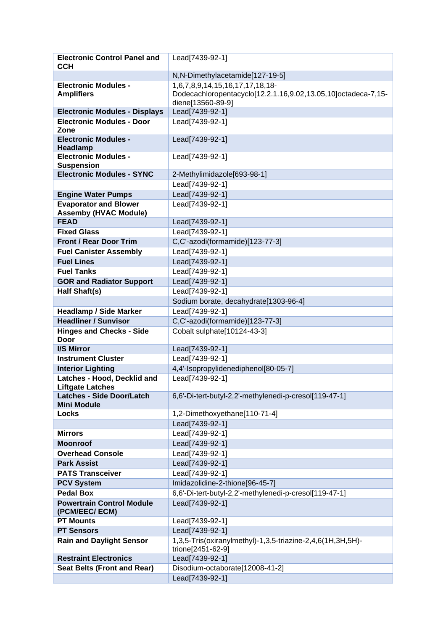| <b>Electronic Control Panel and</b>                   | Lead[7439-92-1]                                                                    |
|-------------------------------------------------------|------------------------------------------------------------------------------------|
| <b>CCH</b>                                            |                                                                                    |
|                                                       | N,N-Dimethylacetamide[127-19-5]                                                    |
| <b>Electronic Modules -</b>                           | 1,6,7,8,9,14,15,16,17,17,18,18-                                                    |
| <b>Amplifiers</b>                                     | Dodecachloropentacyclo[12.2.1.16,9.02,13.05,10]octadeca-7,15-<br>diene[13560-89-9] |
| <b>Electronic Modules - Displays</b>                  | Lead[7439-92-1]                                                                    |
| <b>Electronic Modules - Door</b>                      | Lead[7439-92-1]                                                                    |
| Zone                                                  |                                                                                    |
| <b>Electronic Modules -</b>                           | Lead[7439-92-1]                                                                    |
| <b>Headlamp</b>                                       |                                                                                    |
| <b>Electronic Modules -</b>                           | Lead[7439-92-1]                                                                    |
| <b>Suspension</b><br><b>Electronic Modules - SYNC</b> | 2-Methylimidazole[693-98-1]                                                        |
|                                                       | Lead[7439-92-1]                                                                    |
| <b>Engine Water Pumps</b>                             | Lead[7439-92-1]                                                                    |
| <b>Evaporator and Blower</b>                          | Lead[7439-92-1]                                                                    |
| <b>Assemby (HVAC Module)</b>                          |                                                                                    |
| <b>FEAD</b>                                           | Lead[7439-92-1]                                                                    |
| <b>Fixed Glass</b>                                    | Lead[7439-92-1]                                                                    |
| <b>Front / Rear Door Trim</b>                         | C.C'-azodi(formamide)[123-77-3]                                                    |
| <b>Fuel Canister Assembly</b>                         | Lead[7439-92-1]                                                                    |
| <b>Fuel Lines</b>                                     | Lead[7439-92-1]                                                                    |
| <b>Fuel Tanks</b>                                     | Lead[7439-92-1]                                                                    |
| <b>GOR and Radiator Support</b>                       | Lead[7439-92-1]                                                                    |
| Half Shaft(s)                                         | Lead[7439-92-1]                                                                    |
|                                                       | Sodium borate, decahydrate[1303-96-4]                                              |
| <b>Headlamp / Side Marker</b>                         | Lead[7439-92-1]                                                                    |
| <b>Headliner / Sunvisor</b>                           | C,C'-azodi(formamide)[123-77-3]                                                    |
|                                                       |                                                                                    |
| <b>Hinges and Checks - Side</b><br><b>Door</b>        | Cobalt sulphate[10124-43-3]                                                        |
| <b>I/S Mirror</b>                                     | Lead[7439-92-1]                                                                    |
| <b>Instrument Cluster</b>                             | Lead[7439-92-1]                                                                    |
| <b>Interior Lighting</b>                              | 4,4'-Isopropylidenediphenol[80-05-7]                                               |
| Latches - Hood, Decklid and                           | Lead[7439-92-1]                                                                    |
| <b>Liftgate Latches</b>                               |                                                                                    |
| <b>Latches - Side Door/Latch</b>                      | 6,6'-Di-tert-butyl-2,2'-methylenedi-p-cresol[119-47-1]                             |
| <b>Mini Module</b>                                    |                                                                                    |
| Locks                                                 | 1,2-Dimethoxyethane[110-71-4]<br>Lead[7439-92-1]                                   |
| <b>Mirrors</b>                                        | Lead[7439-92-1]                                                                    |
| <b>Moonroof</b>                                       | Lead[7439-92-1]                                                                    |
| <b>Overhead Console</b>                               | Lead[7439-92-1]                                                                    |
| <b>Park Assist</b>                                    | Lead[7439-92-1]                                                                    |
| <b>PATS Transceiver</b>                               | Lead[7439-92-1]                                                                    |
| <b>PCV System</b>                                     | Imidazolidine-2-thione[96-45-7]                                                    |
| <b>Pedal Box</b>                                      | 6,6'-Di-tert-butyl-2,2'-methylenedi-p-cresol[119-47-1]                             |
| <b>Powertrain Control Module</b><br>(PCM/EEC/ ECM)    | Lead[7439-92-1]                                                                    |
| <b>PT Mounts</b>                                      | Lead[7439-92-1]                                                                    |
| <b>PT Sensors</b>                                     | Lead[7439-92-1]                                                                    |
| <b>Rain and Daylight Sensor</b>                       | 1,3,5-Tris(oxiranylmethyl)-1,3,5-triazine-2,4,6(1H,3H,5H)-<br>trione[2451-62-9]    |
| <b>Restraint Electronics</b>                          | Lead[7439-92-1]                                                                    |
| <b>Seat Belts (Front and Rear)</b>                    | Disodium-octaborate[12008-41-2]                                                    |